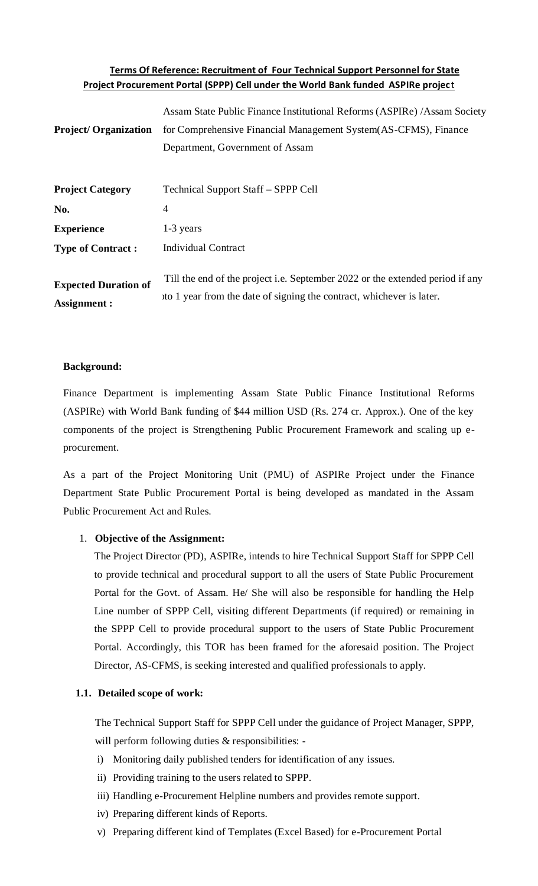# **Terms Of Reference: Recruitment of Four Technical Support Personnel for State Project Procurement Portal (SPPP) Cell under the World Bank funded ASPIRe projec**t

|                             | Assam State Public Finance Institutional Reforms (ASPIRe) / Assam Society     |
|-----------------------------|-------------------------------------------------------------------------------|
| <b>Project/Organization</b> | for Comprehensive Financial Management System (AS-CFMS), Finance              |
|                             | Department, Government of Assam                                               |
|                             |                                                                               |
| <b>Project Category</b>     | Technical Support Staff – SPPP Cell                                           |
| No.                         | 4                                                                             |
| <b>Experience</b>           | 1-3 years                                                                     |
| <b>Type of Contract:</b>    | <b>Individual Contract</b>                                                    |
|                             | Till the end of the project i.e. September 2022 or the extended period if any |
| <b>Expected Duration of</b> | to 1 year from the date of signing the contract, whichever is later.          |
| <b>Assignment:</b>          |                                                                               |

## **Background:**

Finance Department is implementing Assam State Public Finance Institutional Reforms (ASPIRe) with World Bank funding of \$44 million USD (Rs. 274 cr. Approx.). One of the key components of the project is Strengthening Public Procurement Framework and scaling up eprocurement.

As a part of the Project Monitoring Unit (PMU) of ASPIRe Project under the Finance Department State Public Procurement Portal is being developed as mandated in the Assam Public Procurement Act and Rules.

## 1. **Objective of the Assignment:**

The Project Director (PD), ASPIRe, intends to hire Technical Support Staff for SPPP Cell to provide technical and procedural support to all the users of State Public Procurement Portal for the Govt. of Assam. He/ She will also be responsible for handling the Help Line number of SPPP Cell, visiting different Departments (if required) or remaining in the SPPP Cell to provide procedural support to the users of State Public Procurement Portal. Accordingly, this TOR has been framed for the aforesaid position. The Project Director, AS-CFMS, is seeking interested and qualified professionals to apply.

### **1.1. Detailed scope of work:**

The Technical Support Staff for SPPP Cell under the guidance of Project Manager, SPPP, will perform following duties & responsibilities: -

- i) Monitoring daily published tenders for identification of any issues.
- ii) Providing training to the users related to SPPP.
- iii) Handling e-Procurement Helpline numbers and provides remote support.
- iv) Preparing different kinds of Reports.
- v) Preparing different kind of Templates (Excel Based) for e-Procurement Portal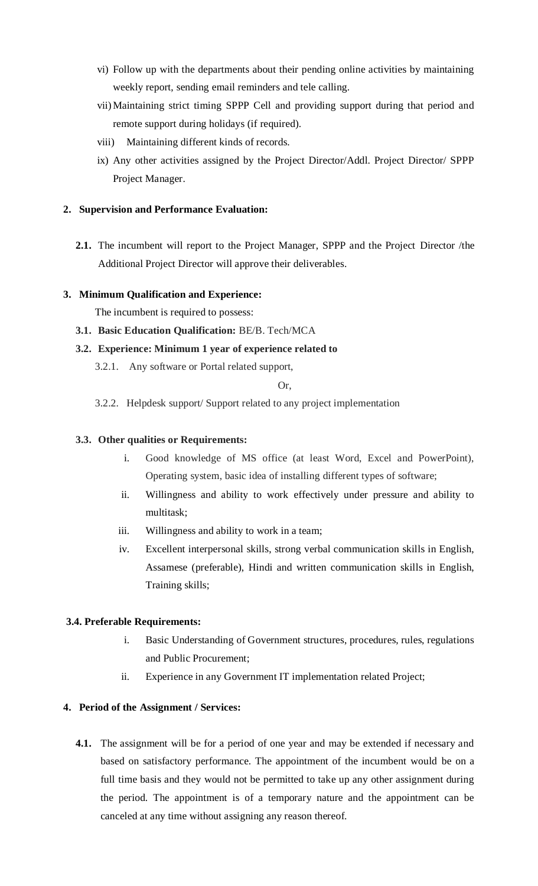- vi) Follow up with the departments about their pending online activities by maintaining weekly report, sending email reminders and tele calling.
- vii) Maintaining strict timing SPPP Cell and providing support during that period and remote support during holidays (if required).
- viii) Maintaining different kinds of records.
- ix) Any other activities assigned by the Project Director/Addl. Project Director/ SPPP Project Manager.

## **2. Supervision and Performance Evaluation:**

**2.1.** The incumbent will report to the Project Manager, SPPP and the Project Director /the Additional Project Director will approve their deliverables.

## **3. Minimum Qualification and Experience:**

The incumbent is required to possess:

**3.1. Basic Education Qualification:** BE/B. Tech/MCA

# **3.2. Experience: Minimum 1 year of experience related to**

3.2.1. Any software or Portal related support,

## Or,

3.2.2. Helpdesk support/ Support related to any project implementation

## **3.3. Other qualities or Requirements:**

- i. Good knowledge of MS office (at least Word, Excel and PowerPoint), Operating system, basic idea of installing different types of software;
- ii. Willingness and ability to work effectively under pressure and ability to multitask;
- iii. Willingness and ability to work in a team;
- iv. Excellent interpersonal skills, strong verbal communication skills in English, Assamese (preferable), Hindi and written communication skills in English, Training skills;

## **3.4. Preferable Requirements:**

- i. Basic Understanding of Government structures, procedures, rules, regulations and Public Procurement;
- ii. Experience in any Government IT implementation related Project;

## **4. Period of the Assignment / Services:**

**4.1.** The assignment will be for a period of one year and may be extended if necessary and based on satisfactory performance. The appointment of the incumbent would be on a full time basis and they would not be permitted to take up any other assignment during the period. The appointment is of a temporary nature and the appointment can be canceled at any time without assigning any reason thereof.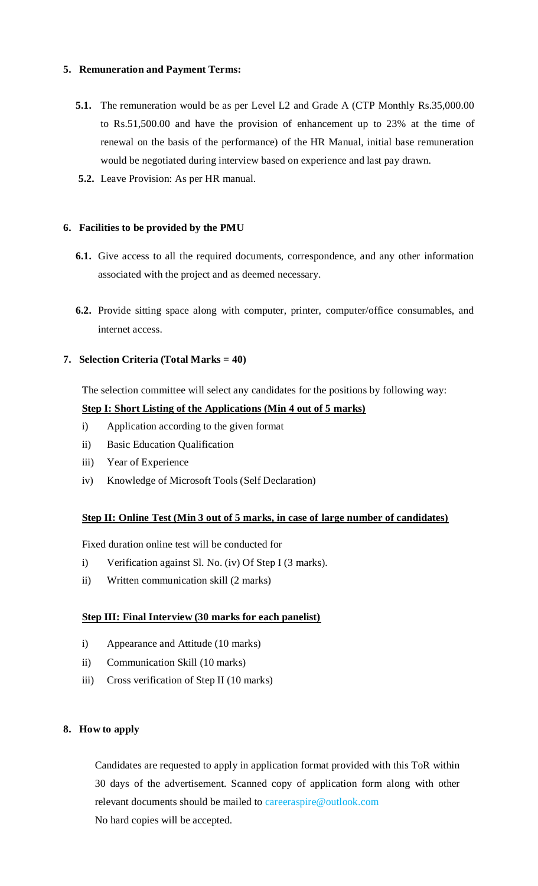## **5. Remuneration and Payment Terms:**

- **5.1.** The remuneration would be as per Level L2 and Grade A (CTP Monthly Rs.35,000.00) to Rs.51,500.00 and have the provision of enhancement up to 23% at the time of renewal on the basis of the performance) of the HR Manual, initial base remuneration would be negotiated during interview based on experience and last pay drawn.
- **5.2.** Leave Provision: As per HR manual.

### **6. Facilities to be provided by the PMU**

- **6.1.** Give access to all the required documents, correspondence, and any other information associated with the project and as deemed necessary.
- **6.2.** Provide sitting space along with computer, printer, computer/office consumables, and internet access.

### **7. Selection Criteria (Total Marks = 40)**

The selection committee will select any candidates for the positions by following way:

### **Step I: Short Listing of the Applications (Min 4 out of 5 marks)**

- i) Application according to the given format
- ii) Basic Education Qualification
- iii) Year of Experience
- iv) Knowledge of Microsoft Tools (Self Declaration)

### **Step II: Online Test (Min 3 out of 5 marks, in case of large number of candidates)**

Fixed duration online test will be conducted for

- i) Verification against Sl. No. (iv) Of Step I (3 marks).
- ii) Written communication skill (2 marks)

### **Step III: Final Interview (30 marks for each panelist)**

- i) Appearance and Attitude (10 marks)
- ii) Communication Skill (10 marks)
- iii) Cross verification of Step II (10 marks)

### **8. How to apply**

Candidates are requested to apply in application format provided with this ToR within 30 days of the advertisement. Scanned copy of application form along with other relevant documents should be mailed to careeraspire@outlook.com No hard copies will be accepted.